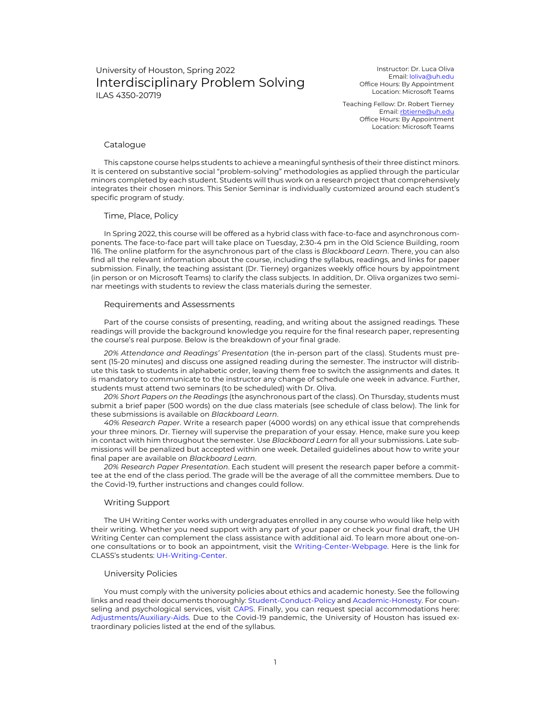# University of Houston, Spring 2022 Interdisciplinary Problem Solving ILAS 4350-20719

Instructor: Dr. Luca Oliva Email: loliva@uh.edu Office Hours: By Appointment Location: Microsoft Teams

Teaching Fellow: Dr. Robert Tierney Email: rbtierne@uh.edu Office Hours: By Appointment Location: Microsoft Teams

### Catalogue

This capstone course helps students to achieve a meaningful synthesis of their three distinct minors. It is centered on substantive social "problem-solving" methodologies as applied through the particular minors completed by each student. Students will thus work on a research project that comprehensively integrates their chosen minors. This Senior Seminar is individually customized around each student's specific program of study.

### Time, Place, Policy

In Spring 2022, this course will be offered as a hybrid class with face-to-face and asynchronous components. The face-to-face part will take place on Tuesday, 2:30-4 pm in the Old Science Building, room 116. The online platform for the asynchronous part of the class is *Blackboard Learn*. There, you can also find all the relevant information about the course, including the syllabus, readings, and links for paper submission. Finally, the teaching assistant (Dr. Tierney) organizes weekly office hours by appointment (in person or on Microsoft Teams) to clarify the class subjects. In addition, Dr. Oliva organizes two seminar meetings with students to review the class materials during the semester.

#### Requirements and Assessments

Part of the course consists of presenting, reading, and writing about the assigned readings. These readings will provide the background knowledge you require for the final research paper, representing the course's real purpose. Below is the breakdown of your final grade.

*20% Attendance and Readings' Presentation* (the in-person part of the class). Students must present (15-20 minutes) and discuss one assigned reading during the semester. The instructor will distribute this task to students in alphabetic order, leaving them free to switch the assignments and dates. It is mandatory to communicate to the instructor any change of schedule one week in advance. Further, students must attend two seminars (to be scheduled) with Dr. Oliva.

*20% Short Papers on the Readings* (the asynchronous part of the class). On Thursday, students must submit a brief paper (500 words) on the due class materials (see schedule of class below). The link for these submissions is available on *Blackboard Learn*.

*40% Research Paper*. Write a research paper (4000 words) on any ethical issue that comprehends your three minors. Dr. Tierney will supervise the preparation of your essay. Hence, make sure you keep in contact with him throughout the semester. Use *Blackboard Learn* for all your submissions. Late submissions will be penalized but accepted within one week. Detailed guidelines about how to write your final paper are available on *Blackboard Learn*.

*20% Research Paper Presentation*. Each student will present the research paper before a committee at the end of the class period. The grade will be the average of all the committee members. Due to the Covid-19, further instructions and changes could follow.

#### Writing Support

The UH Writing Center works with undergraduates enrolled in any course who would like help with their writing. Whether you need support with any part of your paper or check your final draft, the UH Writing Center can complement the class assistance with additional aid. To learn more about one-onone consultations or to book an appointment, visit the Writing-Center-Webpage. Here is the link for CLASS's students: UH-Writing-Center.

#### University Policies

You must comply with the university policies about ethics and academic honesty. See the following links and read their documents thoroughly: Student-Conduct-Policy and Academic-Honesty. For counseling and psychological services, visit CAPS. Finally, you can request special accommodations here: Adjustments/Auxiliary-Aids. Due to the Covid-19 pandemic, the University of Houston has issued extraordinary policies listed at the end of the syllabus.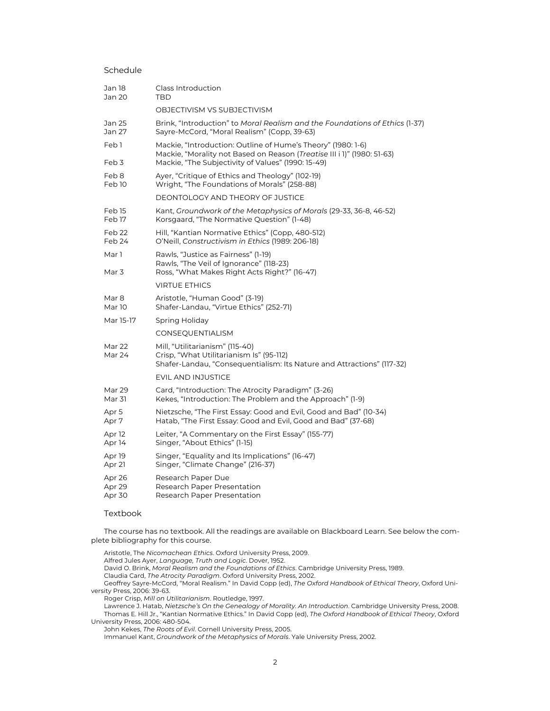## Schedule

| Jan 18<br>Jan 20            | Class Introduction<br><b>TBD</b>                                                                                                                                                              |
|-----------------------------|-----------------------------------------------------------------------------------------------------------------------------------------------------------------------------------------------|
|                             | OBJECTIVISM VS SUBJECTIVISM                                                                                                                                                                   |
| Jan 25<br>Jan 27            | Brink, "Introduction" to Moral Realism and the Foundations of Ethics (1-37)<br>Sayre-McCord, "Moral Realism" (Copp, 39-63)                                                                    |
| Feb <sub>1</sub><br>Feb 3   | Mackie, "Introduction: Outline of Hume's Theory" (1980: 1-6)<br>Mackie, "Morality not Based on Reason (Treatise III i 1)" (1980: 51-63)<br>Mackie, "The Subjectivity of Values" (1990: 15-49) |
| Feb 8<br>Feb <sub>10</sub>  | Ayer, "Critique of Ethics and Theology" (102-19)<br>Wright, "The Foundations of Morals" (258-88)                                                                                              |
|                             | DEONTOLOGY AND THEORY OF JUSTICE                                                                                                                                                              |
| Feb 15<br>Feb 17            | Kant, Groundwork of the Metaphysics of Morals (29-33, 36-8, 46-52)<br>Korsgaard, "The Normative Question" (1-48)                                                                              |
| Feb 22<br>Feb 24            | Hill, "Kantian Normative Ethics" (Copp, 480-512)<br>O'Neill, Constructivism in Ethics (1989: 206-18)                                                                                          |
| Mar 1                       | Rawls, "Justice as Fairness" (1-19)<br>Rawls, "The Veil of Ignorance" (118-23)                                                                                                                |
| Mar 3                       | Ross, "What Makes Right Acts Right?" (16-47)                                                                                                                                                  |
|                             | <b>VIRTUE ETHICS</b>                                                                                                                                                                          |
| Mar 8<br>Mar 10             | Aristotle, "Human Good" (3-19)<br>Shafer-Landau, "Virtue Ethics" (252-71)                                                                                                                     |
| Mar 15-17                   | Spring Holiday                                                                                                                                                                                |
|                             | CONSEQUENTIALISM                                                                                                                                                                              |
| Mar 22<br>Mar 24            | Mill, "Utilitarianism" (115-40)<br>Crisp, "What Utilitarianism Is" (95-112)<br>Shafer-Landau, "Consequentialism: Its Nature and Attractions" (117-32)                                         |
|                             | <b>EVIL AND INJUSTICE</b>                                                                                                                                                                     |
| Mar 29<br>Mar 31            | Card, "Introduction: The Atrocity Paradigm" (3-26)<br>Kekes, "Introduction: The Problem and the Approach" (1-9)                                                                               |
| Apr 5<br>Apr 7              | Nietzsche, "The First Essay: Good and Evil, Good and Bad" (10-34)<br>Hatab, "The First Essay: Good and Evil, Good and Bad" (37-68)                                                            |
| Apr <sub>12</sub><br>Apr 14 | Leiter, "A Commentary on the First Essay" (155-77)<br>Singer, "About Ethics" (1-15)                                                                                                           |
| Apr 19<br>Apr 21            | Singer, "Equality and Its Implications" (16-47)<br>Singer, "Climate Change" (216-37)                                                                                                          |
| Apr 26<br>Apr 29<br>Apr 30  | Research Paper Due<br>Research Paper Presentation<br>Research Paper Presentation                                                                                                              |

### Textbook

The course has no textbook. All the readings are available on Blackboard Learn. See below the complete bibliography for this course.

Aristotle, The *Nicomachean Ethics*. Oxford University Press, 2009.

Alfred Jules Ayer, *Language, Truth and Logic*. Dover, 1952.

David O. Brink, *Moral Realism and the Foundations of Ethics*. Cambridge University Press, 1989.

Claudia Card, *The Atrocity Paradigm*. Oxford University Press, 2002.

Geoffrey Sayre-McCord, "Moral Realism." In David Copp (ed), *The Oxford Handbook of Ethical Theory*, Oxford University Press, 2006: 39-63.

Roger Crisp, *Mill on Utilitarianism*. Routledge, 1997.

Lawrence J. Hatab, *Nietzsche's On the Genealogy of Morality. An Introduction*. Cambridge University Press, 2008. Thomas E. Hill Jr., "Kantian Normative Ethics." In David Copp (ed), *The Oxford Handbook of Ethical Theory*, Oxford University Press, 2006: 480-504.

John Kekes, *The Roots of Evil*. Cornell University Press, 2005.

Immanuel Kant, *Groundwork of the Metaphysics of Morals*. Yale University Press, 2002.